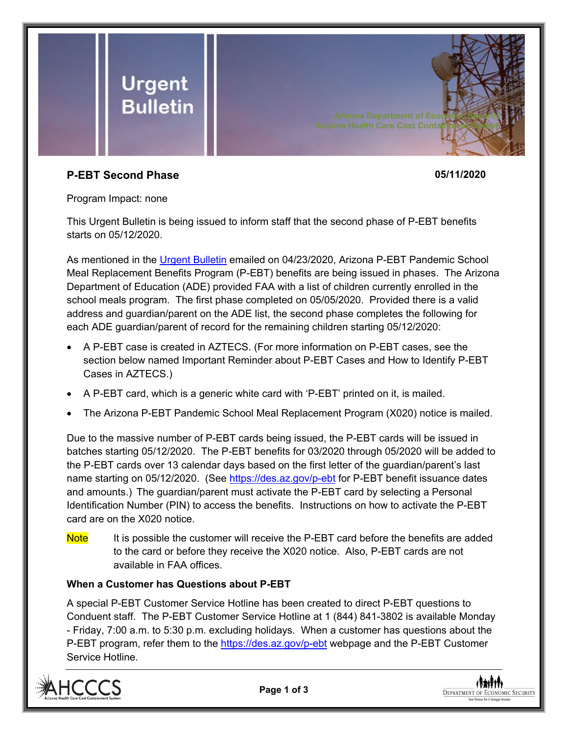

## **P-EBT Second Phase 05/11/2020**

Program Impact: none

This Urgent Bulletin is being issued to inform staff that the second phase of P-EBT benefits starts on 05/12/2020.

As mentioned in the [Urgent Bulletin](https://dbmefaapolicy.azdes.gov/ARchived_Policy/baggage/Urgent%20Bulletin%20(04-23-2020)%20-%20Arizona%20P-EBT%20Pandemic%20School%20Meal%20Replacement%20Benefits.pdf) emailed on 04/23/2020, Arizona P-EBT Pandemic School Meal Replacement Benefits Program (P-EBT) benefits are being issued in phases. The Arizona Department of Education (ADE) provided FAA with a list of children currently enrolled in the school meals program. The first phase completed on 05/05/2020. Provided there is a valid address and guardian/parent on the ADE list, the second phase completes the following for each ADE guardian/parent of record for the remaining children starting 05/12/2020:

- A P-EBT case is created in AZTECS. (For more information on P-EBT cases, see the section below named Important Reminder about P-EBT Cases and How to Identify P-EBT Cases in AZTECS.)
- A P-EBT card, which is a generic white card with 'P-EBT' printed on it, is mailed.
- The Arizona P-EBT Pandemic School Meal Replacement Program (X020) notice is mailed.

Due to the massive number of P-EBT cards being issued, the P-EBT cards will be issued in batches starting 05/12/2020. The P-EBT benefits for 03/2020 through 05/2020 will be added to the P-EBT cards over 13 calendar days based on the first letter of the guardian/parent's last name starting on 05/12/2020. (See<https://des.az.gov/p-ebt> for P-EBT benefit issuance dates and amounts.) The guardian/parent must activate the P-EBT card by selecting a Personal Identification Number (PIN) to access the benefits. Instructions on how to activate the P-EBT card are on the X020 notice.

Note It is possible the customer will receive the P-EBT card before the benefits are added to the card or before they receive the X020 notice. Also, P-EBT cards are not available in FAA offices.

## **When a Customer has Questions about P-EBT**

A special P-EBT Customer Service Hotline has been created to direct P-EBT questions to Conduent staff. The P-EBT Customer Service Hotline at 1 (844) 841-3802 is available Monday - Friday, 7:00 a.m. to 5:30 p.m. excluding holidays. When a customer has questions about the P-EBT program, refer them to the<https://des.az.gov/p-ebt> webpage and the P-EBT Customer Service Hotline.





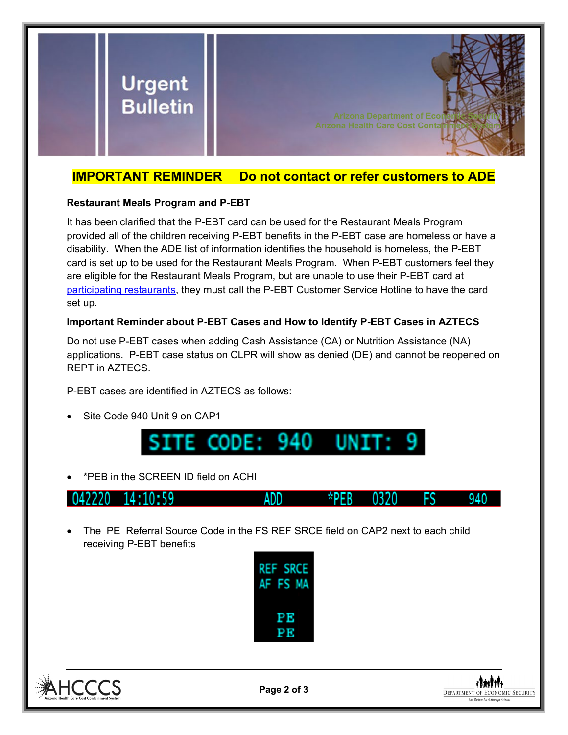

# **IMPORTANT REMINDER Do not contact or refer customers to ADE**

#### **Restaurant Meals Program and P-EBT**

It has been clarified that the P-EBT card can be used for the Restaurant Meals Program provided all of the children receiving P-EBT benefits in the P-EBT case are homeless or have a disability. When the ADE list of information identifies the household is homeless, the P-EBT card is set up to be used for the Restaurant Meals Program. When P-EBT customers feel they are eligible for the Restaurant Meals Program, but are unable to use their P-EBT card at [participating restaurants,](https://dbmefaapolicy.azdes.gov/FAA1/baggage/MealsProgramRestaurants.pdf) they must call the P-EBT Customer Service Hotline to have the card set up.

## **Important Reminder about P-EBT Cases and How to Identify P-EBT Cases in AZTECS**

Do not use P-EBT cases when adding Cash Assistance (CA) or Nutrition Assistance (NA) applications. P-EBT case status on CLPR will show as denied (DE) and cannot be reopened on REPT in AZTECS.

P-EBT cases are identified in AZTECS as follows:

Site Code 940 Unit 9 on CAP1



• \*PEB in the SCREEN ID field on ACHI



• The PE Referral Source Code in the FS REF SRCE field on CAP2 next to each child receiving P-EBT benefits